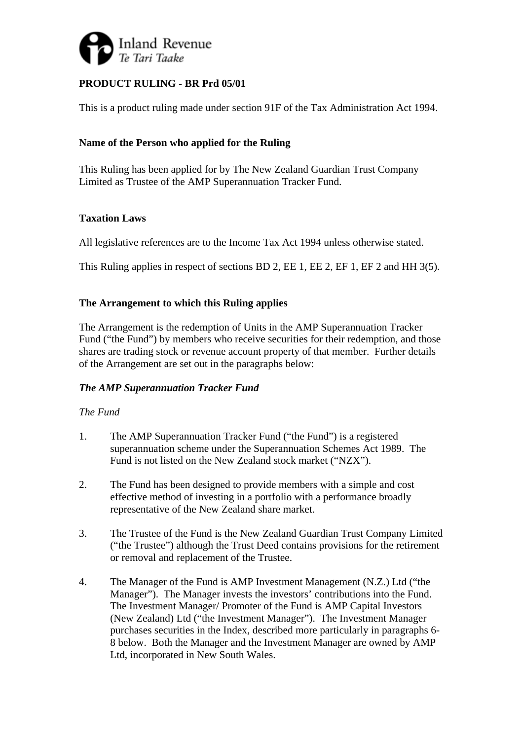

# **PRODUCT RULING - BR Prd 05/01**

This is a product ruling made under section 91F of the Tax Administration Act 1994.

## **Name of the Person who applied for the Ruling**

This Ruling has been applied for by The New Zealand Guardian Trust Company Limited as Trustee of the AMP Superannuation Tracker Fund.

## **Taxation Laws**

All legislative references are to the Income Tax Act 1994 unless otherwise stated.

This Ruling applies in respect of sections BD 2, EE 1, EE 2, EF 1, EF 2 and HH 3(5).

## **The Arrangement to which this Ruling applies**

The Arrangement is the redemption of Units in the AMP Superannuation Tracker Fund ("the Fund") by members who receive securities for their redemption, and those shares are trading stock or revenue account property of that member. Further details of the Arrangement are set out in the paragraphs below:

## *The AMP Superannuation Tracker Fund*

#### *The Fund*

- 1. The AMP Superannuation Tracker Fund ("the Fund") is a registered superannuation scheme under the Superannuation Schemes Act 1989. The Fund is not listed on the New Zealand stock market ("NZX").
- 2. The Fund has been designed to provide members with a simple and cost effective method of investing in a portfolio with a performance broadly representative of the New Zealand share market.
- 3. The Trustee of the Fund is the New Zealand Guardian Trust Company Limited ("the Trustee") although the Trust Deed contains provisions for the retirement or removal and replacement of the Trustee.
- 4. The Manager of the Fund is AMP Investment Management (N.Z.) Ltd ("the Manager"). The Manager invests the investors' contributions into the Fund. The Investment Manager/ Promoter of the Fund is AMP Capital Investors (New Zealand) Ltd ("the Investment Manager"). The Investment Manager purchases securities in the Index, described more particularly in paragraphs 6- 8 below. Both the Manager and the Investment Manager are owned by AMP Ltd, incorporated in New South Wales.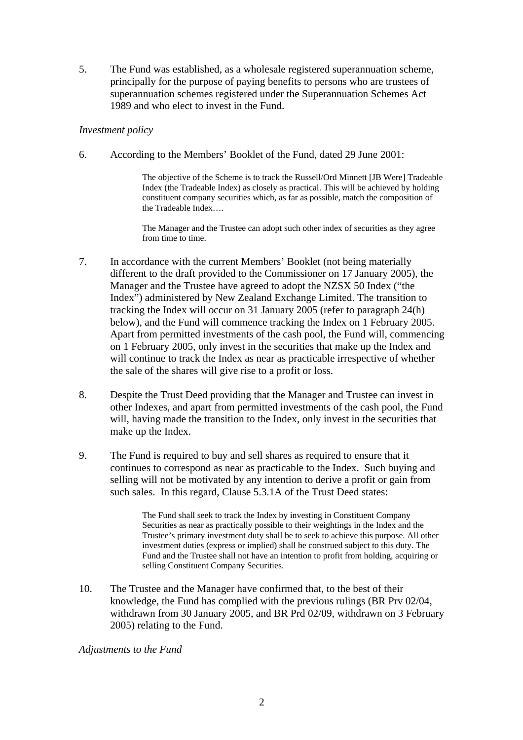5. The Fund was established, as a wholesale registered superannuation scheme, principally for the purpose of paying benefits to persons who are trustees of superannuation schemes registered under the Superannuation Schemes Act 1989 and who elect to invest in the Fund.

#### *Investment policy*

6. According to the Members' Booklet of the Fund, dated 29 June 2001:

The objective of the Scheme is to track the Russell/Ord Minnett [JB Were] Tradeable Index (the Tradeable Index) as closely as practical. This will be achieved by holding constituent company securities which, as far as possible, match the composition of the Tradeable Index….

The Manager and the Trustee can adopt such other index of securities as they agree from time to time.

- 7. In accordance with the current Members' Booklet (not being materially different to the draft provided to the Commissioner on 17 January 2005), the Manager and the Trustee have agreed to adopt the NZSX 50 Index ("the Index") administered by New Zealand Exchange Limited. The transition to tracking the Index will occur on 31 January 2005 (refer to paragraph 24(h) below), and the Fund will commence tracking the Index on 1 February 2005. Apart from permitted investments of the cash pool, the Fund will, commencing on 1 February 2005, only invest in the securities that make up the Index and will continue to track the Index as near as practicable irrespective of whether the sale of the shares will give rise to a profit or loss.
- 8. Despite the Trust Deed providing that the Manager and Trustee can invest in other Indexes, and apart from permitted investments of the cash pool, the Fund will, having made the transition to the Index, only invest in the securities that make up the Index.
- 9. The Fund is required to buy and sell shares as required to ensure that it continues to correspond as near as practicable to the Index. Such buying and selling will not be motivated by any intention to derive a profit or gain from such sales. In this regard, Clause 5.3.1A of the Trust Deed states:

The Fund shall seek to track the Index by investing in Constituent Company Securities as near as practically possible to their weightings in the Index and the Trustee's primary investment duty shall be to seek to achieve this purpose. All other investment duties (express or implied) shall be construed subject to this duty. The Fund and the Trustee shall not have an intention to profit from holding, acquiring or selling Constituent Company Securities.

10. The Trustee and the Manager have confirmed that, to the best of their knowledge, the Fund has complied with the previous rulings (BR Prv 02/04, withdrawn from 30 January 2005, and BR Prd 02/09, withdrawn on 3 February 2005) relating to the Fund.

*Adjustments to the Fund*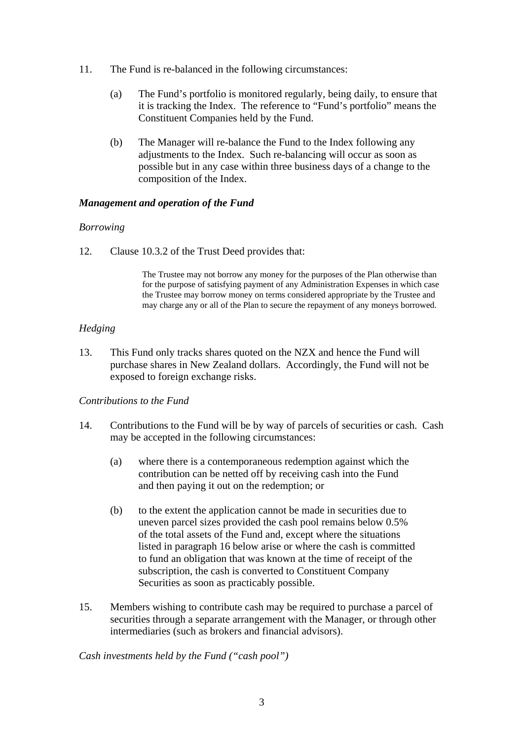- 11. The Fund is re-balanced in the following circumstances:
	- (a) The Fund's portfolio is monitored regularly, being daily, to ensure that it is tracking the Index. The reference to "Fund's portfolio" means the Constituent Companies held by the Fund.
	- (b) The Manager will re-balance the Fund to the Index following any adjustments to the Index. Such re-balancing will occur as soon as possible but in any case within three business days of a change to the composition of the Index.

### *Management and operation of the Fund*

#### *Borrowing*

12. Clause 10.3.2 of the Trust Deed provides that:

The Trustee may not borrow any money for the purposes of the Plan otherwise than for the purpose of satisfying payment of any Administration Expenses in which case the Trustee may borrow money on terms considered appropriate by the Trustee and may charge any or all of the Plan to secure the repayment of any moneys borrowed.

## *Hedging*

13. This Fund only tracks shares quoted on the NZX and hence the Fund will purchase shares in New Zealand dollars. Accordingly, the Fund will not be exposed to foreign exchange risks.

## *Contributions to the Fund*

- 14. Contributions to the Fund will be by way of parcels of securities or cash. Cash may be accepted in the following circumstances:
	- (a) where there is a contemporaneous redemption against which the contribution can be netted off by receiving cash into the Fund and then paying it out on the redemption; or
	- (b) to the extent the application cannot be made in securities due to uneven parcel sizes provided the cash pool remains below 0.5% of the total assets of the Fund and, except where the situations listed in paragraph 16 below arise or where the cash is committed to fund an obligation that was known at the time of receipt of the subscription, the cash is converted to Constituent Company Securities as soon as practicably possible.
- 15. Members wishing to contribute cash may be required to purchase a parcel of securities through a separate arrangement with the Manager, or through other intermediaries (such as brokers and financial advisors).

#### *Cash investments held by the Fund ("cash pool")*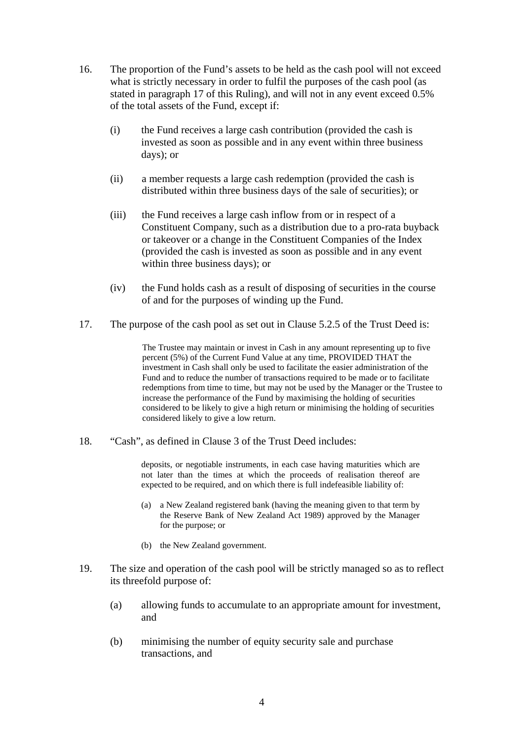- 16. The proportion of the Fund's assets to be held as the cash pool will not exceed what is strictly necessary in order to fulfil the purposes of the cash pool (as stated in paragraph 17 of this Ruling), and will not in any event exceed 0.5% of the total assets of the Fund, except if:
	- (i) the Fund receives a large cash contribution (provided the cash is invested as soon as possible and in any event within three business days); or
	- (ii) a member requests a large cash redemption (provided the cash is distributed within three business days of the sale of securities); or
	- (iii) the Fund receives a large cash inflow from or in respect of a Constituent Company, such as a distribution due to a pro-rata buyback or takeover or a change in the Constituent Companies of the Index (provided the cash is invested as soon as possible and in any event within three business days); or
	- (iv) the Fund holds cash as a result of disposing of securities in the course of and for the purposes of winding up the Fund.
- 17. The purpose of the cash pool as set out in Clause 5.2.5 of the Trust Deed is:

The Trustee may maintain or invest in Cash in any amount representing up to five percent (5%) of the Current Fund Value at any time, PROVIDED THAT the investment in Cash shall only be used to facilitate the easier administration of the Fund and to reduce the number of transactions required to be made or to facilitate redemptions from time to time, but may not be used by the Manager or the Trustee to increase the performance of the Fund by maximising the holding of securities considered to be likely to give a high return or minimising the holding of securities considered likely to give a low return.

18. "Cash", as defined in Clause 3 of the Trust Deed includes:

deposits, or negotiable instruments, in each case having maturities which are not later than the times at which the proceeds of realisation thereof are expected to be required, and on which there is full indefeasible liability of:

- (a) a New Zealand registered bank (having the meaning given to that term by the Reserve Bank of New Zealand Act 1989) approved by the Manager for the purpose; or
- (b) the New Zealand government.
- 19. The size and operation of the cash pool will be strictly managed so as to reflect its threefold purpose of:
	- (a) allowing funds to accumulate to an appropriate amount for investment, and
	- (b) minimising the number of equity security sale and purchase transactions, and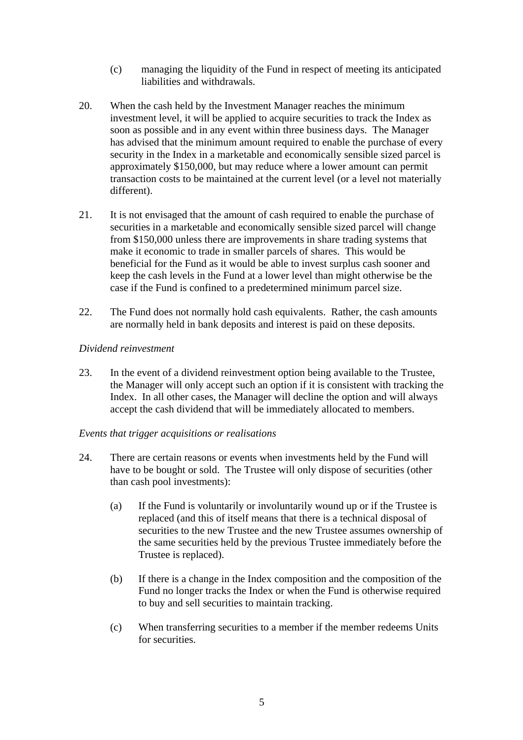- (c) managing the liquidity of the Fund in respect of meeting its anticipated liabilities and withdrawals.
- 20. When the cash held by the Investment Manager reaches the minimum investment level, it will be applied to acquire securities to track the Index as soon as possible and in any event within three business days. The Manager has advised that the minimum amount required to enable the purchase of every security in the Index in a marketable and economically sensible sized parcel is approximately \$150,000, but may reduce where a lower amount can permit transaction costs to be maintained at the current level (or a level not materially different).
- 21. It is not envisaged that the amount of cash required to enable the purchase of securities in a marketable and economically sensible sized parcel will change from \$150,000 unless there are improvements in share trading systems that make it economic to trade in smaller parcels of shares. This would be beneficial for the Fund as it would be able to invest surplus cash sooner and keep the cash levels in the Fund at a lower level than might otherwise be the case if the Fund is confined to a predetermined minimum parcel size.
- 22. The Fund does not normally hold cash equivalents. Rather, the cash amounts are normally held in bank deposits and interest is paid on these deposits.

### *Dividend reinvestment*

- 23. In the event of a dividend reinvestment option being available to the Trustee, the Manager will only accept such an option if it is consistent with tracking the Index. In all other cases, the Manager will decline the option and will always accept the cash dividend that will be immediately allocated to members.
- *Events that trigger acquisitions or realisations*
- 24. There are certain reasons or events when investments held by the Fund will have to be bought or sold. The Trustee will only dispose of securities (other than cash pool investments):
	- (a) If the Fund is voluntarily or involuntarily wound up or if the Trustee is replaced (and this of itself means that there is a technical disposal of securities to the new Trustee and the new Trustee assumes ownership of the same securities held by the previous Trustee immediately before the Trustee is replaced).
	- (b) If there is a change in the Index composition and the composition of the Fund no longer tracks the Index or when the Fund is otherwise required to buy and sell securities to maintain tracking.
	- (c) When transferring securities to a member if the member redeems Units for securities.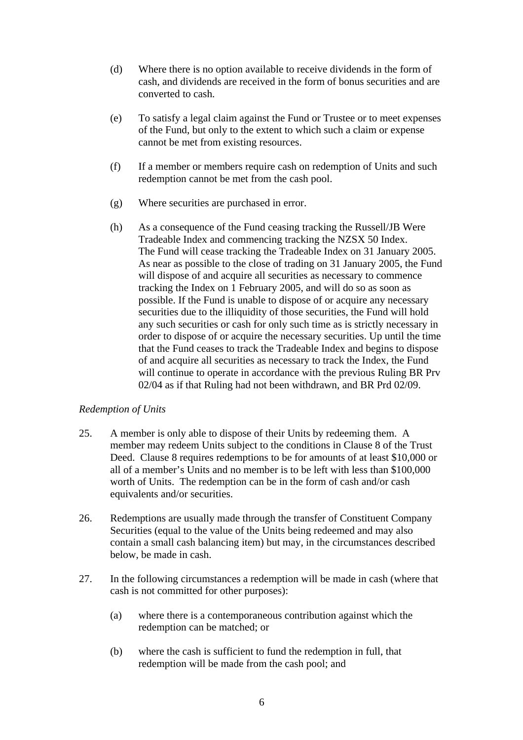- (d) Where there is no option available to receive dividends in the form of cash, and dividends are received in the form of bonus securities and are converted to cash.
- (e) To satisfy a legal claim against the Fund or Trustee or to meet expenses of the Fund, but only to the extent to which such a claim or expense cannot be met from existing resources.
- (f) If a member or members require cash on redemption of Units and such redemption cannot be met from the cash pool.
- (g) Where securities are purchased in error.
- (h) As a consequence of the Fund ceasing tracking the Russell/JB Were Tradeable Index and commencing tracking the NZSX 50 Index. The Fund will cease tracking the Tradeable Index on 31 January 2005. As near as possible to the close of trading on 31 January 2005, the Fund will dispose of and acquire all securities as necessary to commence tracking the Index on 1 February 2005, and will do so as soon as possible. If the Fund is unable to dispose of or acquire any necessary securities due to the illiquidity of those securities, the Fund will hold any such securities or cash for only such time as is strictly necessary in order to dispose of or acquire the necessary securities. Up until the time that the Fund ceases to track the Tradeable Index and begins to dispose of and acquire all securities as necessary to track the Index, the Fund will continue to operate in accordance with the previous Ruling BR Prv 02/04 as if that Ruling had not been withdrawn, and BR Prd 02/09.

#### *Redemption of Units*

- 25. A member is only able to dispose of their Units by redeeming them. A member may redeem Units subject to the conditions in Clause 8 of the Trust Deed. Clause 8 requires redemptions to be for amounts of at least \$10,000 or all of a member's Units and no member is to be left with less than \$100,000 worth of Units. The redemption can be in the form of cash and/or cash equivalents and/or securities.
- 26. Redemptions are usually made through the transfer of Constituent Company Securities (equal to the value of the Units being redeemed and may also contain a small cash balancing item) but may, in the circumstances described below, be made in cash.
- 27. In the following circumstances a redemption will be made in cash (where that cash is not committed for other purposes):
	- (a) where there is a contemporaneous contribution against which the redemption can be matched; or
	- (b) where the cash is sufficient to fund the redemption in full, that redemption will be made from the cash pool; and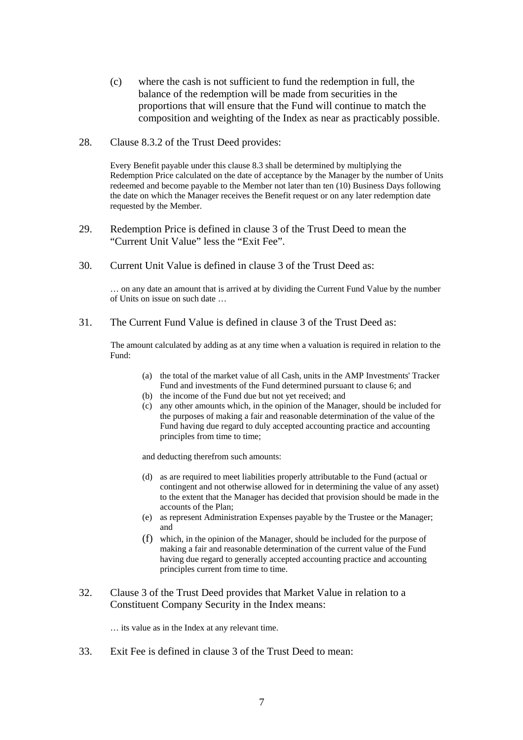- (c) where the cash is not sufficient to fund the redemption in full, the balance of the redemption will be made from securities in the proportions that will ensure that the Fund will continue to match the composition and weighting of the Index as near as practicably possible.
- 28. Clause 8.3.2 of the Trust Deed provides:

Every Benefit payable under this clause 8.3 shall be determined by multiplying the Redemption Price calculated on the date of acceptance by the Manager by the number of Units redeemed and become payable to the Member not later than ten (10) Business Days following the date on which the Manager receives the Benefit request or on any later redemption date requested by the Member.

- 29. Redemption Price is defined in clause 3 of the Trust Deed to mean the "Current Unit Value" less the "Exit Fee".
- 30. Current Unit Value is defined in clause 3 of the Trust Deed as:

… on any date an amount that is arrived at by dividing the Current Fund Value by the number of Units on issue on such date …

31. The Current Fund Value is defined in clause 3 of the Trust Deed as:

The amount calculated by adding as at any time when a valuation is required in relation to the Fund:

- (a) the total of the market value of all Cash, units in the AMP Investments' Tracker Fund and investments of the Fund determined pursuant to clause 6; and
- (b) the income of the Fund due but not yet received; and
- (c) any other amounts which, in the opinion of the Manager, should be included for the purposes of making a fair and reasonable determination of the value of the Fund having due regard to duly accepted accounting practice and accounting principles from time to time;

and deducting therefrom such amounts:

- (d) as are required to meet liabilities properly attributable to the Fund (actual or contingent and not otherwise allowed for in determining the value of any asset) to the extent that the Manager has decided that provision should be made in the accounts of the Plan;
- (e) as represent Administration Expenses payable by the Trustee or the Manager; and
- (f) which, in the opinion of the Manager, should be included for the purpose of making a fair and reasonable determination of the current value of the Fund having due regard to generally accepted accounting practice and accounting principles current from time to time.
- 32. Clause 3 of the Trust Deed provides that Market Value in relation to a Constituent Company Security in the Index means:

… its value as in the Index at any relevant time.

33. Exit Fee is defined in clause 3 of the Trust Deed to mean: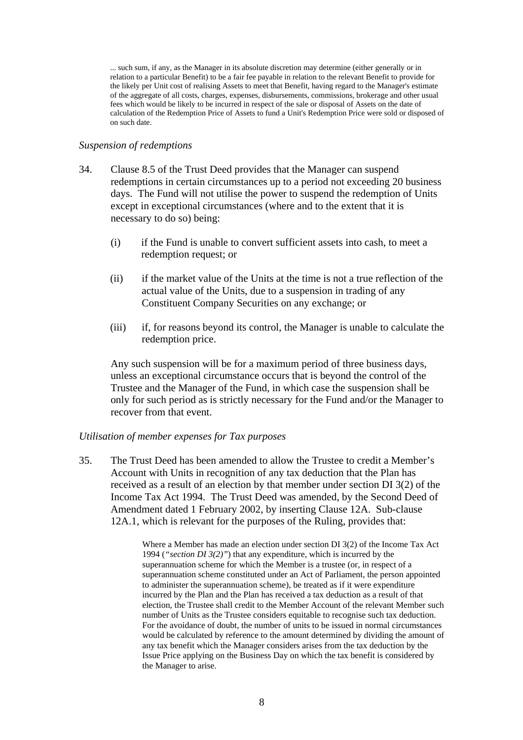... such sum, if any, as the Manager in its absolute discretion may determine (either generally or in relation to a particular Benefit) to be a fair fee payable in relation to the relevant Benefit to provide for the likely per Unit cost of realising Assets to meet that Benefit, having regard to the Manager's estimate of the aggregate of all costs, charges, expenses, disbursements, commissions, brokerage and other usual fees which would be likely to be incurred in respect of the sale or disposal of Assets on the date of calculation of the Redemption Price of Assets to fund a Unit's Redemption Price were sold or disposed of on such date.

#### *Suspension of redemptions*

- 34. Clause 8.5 of the Trust Deed provides that the Manager can suspend redemptions in certain circumstances up to a period not exceeding 20 business days. The Fund will not utilise the power to suspend the redemption of Units except in exceptional circumstances (where and to the extent that it is necessary to do so) being:
	- (i) if the Fund is unable to convert sufficient assets into cash, to meet a redemption request; or
	- (ii) if the market value of the Units at the time is not a true reflection of the actual value of the Units, due to a suspension in trading of any Constituent Company Securities on any exchange; or
	- (iii) if, for reasons beyond its control, the Manager is unable to calculate the redemption price.

Any such suspension will be for a maximum period of three business days, unless an exceptional circumstance occurs that is beyond the control of the Trustee and the Manager of the Fund, in which case the suspension shall be only for such period as is strictly necessary for the Fund and/or the Manager to recover from that event.

#### *Utilisation of member expenses for Tax purposes*

35. The Trust Deed has been amended to allow the Trustee to credit a Member's Account with Units in recognition of any tax deduction that the Plan has received as a result of an election by that member under section DI 3(2) of the Income Tax Act 1994. The Trust Deed was amended, by the Second Deed of Amendment dated 1 February 2002, by inserting Clause 12A. Sub-clause 12A.1, which is relevant for the purposes of the Ruling, provides that:

> Where a Member has made an election under section DI 3(2) of the Income Tax Act 1994 (*"section DI 3(2)"*) that any expenditure, which is incurred by the superannuation scheme for which the Member is a trustee (or, in respect of a superannuation scheme constituted under an Act of Parliament, the person appointed to administer the superannuation scheme), be treated as if it were expenditure incurred by the Plan and the Plan has received a tax deduction as a result of that election, the Trustee shall credit to the Member Account of the relevant Member such number of Units as the Trustee considers equitable to recognise such tax deduction. For the avoidance of doubt, the number of units to be issued in normal circumstances would be calculated by reference to the amount determined by dividing the amount of any tax benefit which the Manager considers arises from the tax deduction by the Issue Price applying on the Business Day on which the tax benefit is considered by the Manager to arise.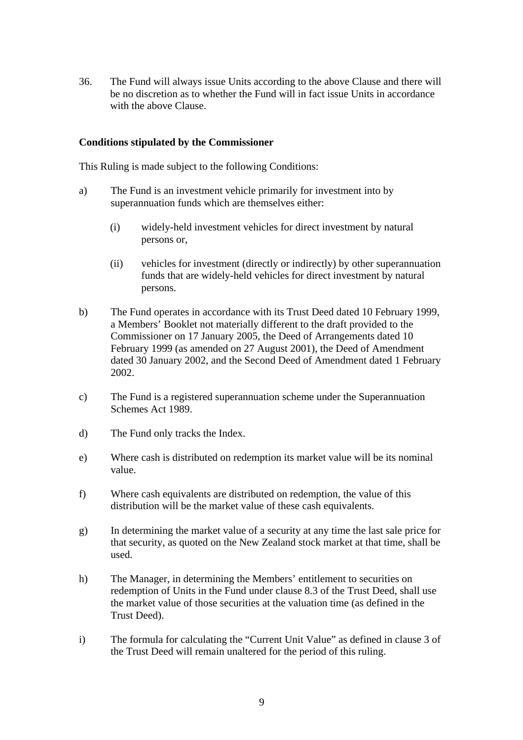36. The Fund will always issue Units according to the above Clause and there will be no discretion as to whether the Fund will in fact issue Units in accordance with the above Clause.

#### **Conditions stipulated by the Commissioner**

This Ruling is made subject to the following Conditions:

- a) The Fund is an investment vehicle primarily for investment into by superannuation funds which are themselves either:
	- (i) widely-held investment vehicles for direct investment by natural persons or,
	- (ii) vehicles for investment (directly or indirectly) by other superannuation funds that are widely-held vehicles for direct investment by natural persons.
- b) The Fund operates in accordance with its Trust Deed dated 10 February 1999, a Members' Booklet not materially different to the draft provided to the Commissioner on 17 January 2005, the Deed of Arrangements dated 10 February 1999 (as amended on 27 August 2001), the Deed of Amendment dated 30 January 2002, and the Second Deed of Amendment dated 1 February 2002.
- c) The Fund is a registered superannuation scheme under the Superannuation Schemes Act 1989.
- d) The Fund only tracks the Index.
- e) Where cash is distributed on redemption its market value will be its nominal value.
- f) Where cash equivalents are distributed on redemption, the value of this distribution will be the market value of these cash equivalents.
- g) In determining the market value of a security at any time the last sale price for that security, as quoted on the New Zealand stock market at that time, shall be used.
- h) The Manager, in determining the Members' entitlement to securities on redemption of Units in the Fund under clause 8.3 of the Trust Deed, shall use the market value of those securities at the valuation time (as defined in the Trust Deed).
- i) The formula for calculating the "Current Unit Value" as defined in clause 3 of the Trust Deed will remain unaltered for the period of this ruling.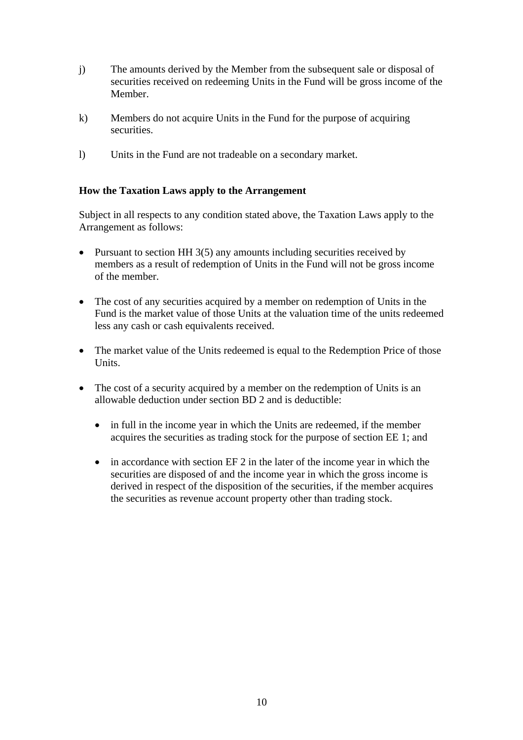- j) The amounts derived by the Member from the subsequent sale or disposal of securities received on redeeming Units in the Fund will be gross income of the Member.
- k) Members do not acquire Units in the Fund for the purpose of acquiring securities.
- l) Units in the Fund are not tradeable on a secondary market.

### **How the Taxation Laws apply to the Arrangement**

Subject in all respects to any condition stated above, the Taxation Laws apply to the Arrangement as follows:

- Pursuant to section HH 3(5) any amounts including securities received by members as a result of redemption of Units in the Fund will not be gross income of the member.
- The cost of any securities acquired by a member on redemption of Units in the Fund is the market value of those Units at the valuation time of the units redeemed less any cash or cash equivalents received.
- The market value of the Units redeemed is equal to the Redemption Price of those Units.
- The cost of a security acquired by a member on the redemption of Units is an allowable deduction under section BD 2 and is deductible:
	- in full in the income year in which the Units are redeemed, if the member acquires the securities as trading stock for the purpose of section EE 1; and
	- in accordance with section EF 2 in the later of the income year in which the securities are disposed of and the income year in which the gross income is derived in respect of the disposition of the securities, if the member acquires the securities as revenue account property other than trading stock.